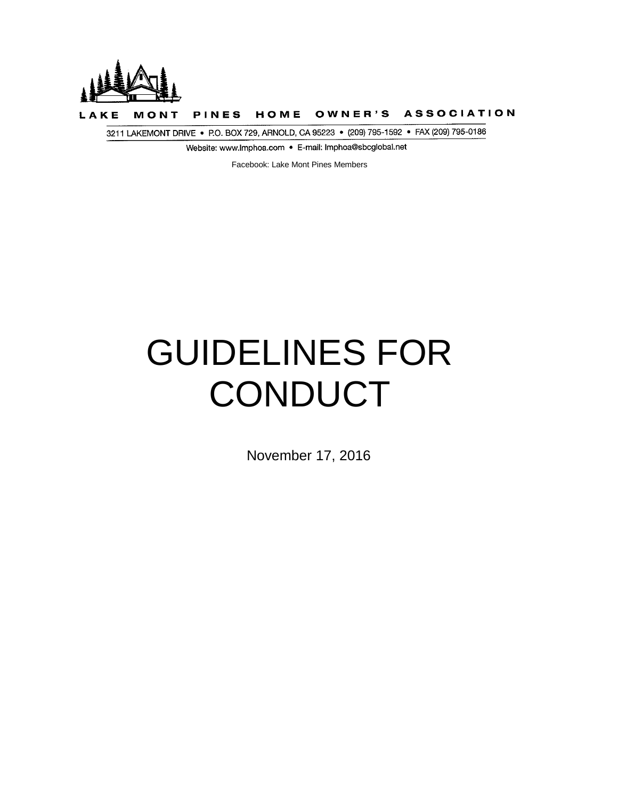

HOME OWNER'S ASSOCIATION PINES MONT

3211 LAKEMONT DRIVE • P.O. BOX 729, ARNOLD, CA 95223 • (209) 795-1592 • FAX (209) 795-0186

Website: www.Imphoa.com • E-mail: Imphoa@sbcglobai.net

Facebook: Lake Mont Pines Members

# GUIDELINES FOR **CONDUCT**

November 17, 2016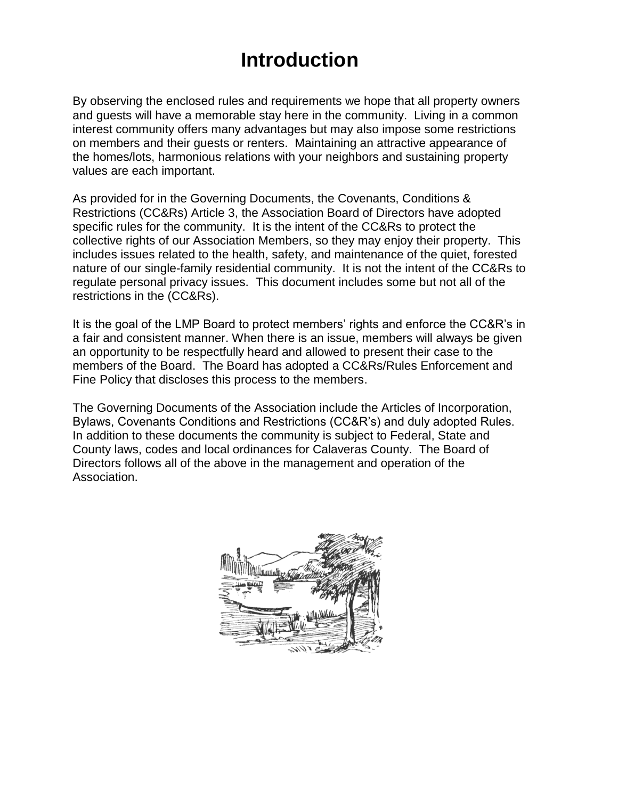#### **Introduction**

By observing the enclosed rules and requirements we hope that all property owners and guests will have a memorable stay here in the community. Living in a common interest community offers many advantages but may also impose some restrictions on members and their guests or renters. Maintaining an attractive appearance of the homes/lots, harmonious relations with your neighbors and sustaining property values are each important.

As provided for in the Governing Documents, the Covenants, Conditions & Restrictions (CC&Rs) Article 3, the Association Board of Directors have adopted specific rules for the community. It is the intent of the CC&Rs to protect the collective rights of our Association Members, so they may enjoy their property. This includes issues related to the health, safety, and maintenance of the quiet, forested nature of our single-family residential community. It is not the intent of the CC&Rs to regulate personal privacy issues. This document includes some but not all of the restrictions in the (CC&Rs).

It is the goal of the LMP Board to protect members' rights and enforce the CC&R's in a fair and consistent manner. When there is an issue, members will always be given an opportunity to be respectfully heard and allowed to present their case to the members of the Board. The Board has adopted a CC&Rs/Rules Enforcement and Fine Policy that discloses this process to the members.

The Governing Documents of the Association include the Articles of Incorporation, Bylaws, Covenants Conditions and Restrictions (CC&R's) and duly adopted Rules. In addition to these documents the community is subject to Federal, State and County laws, codes and local ordinances for Calaveras County. The Board of Directors follows all of the above in the management and operation of the Association.

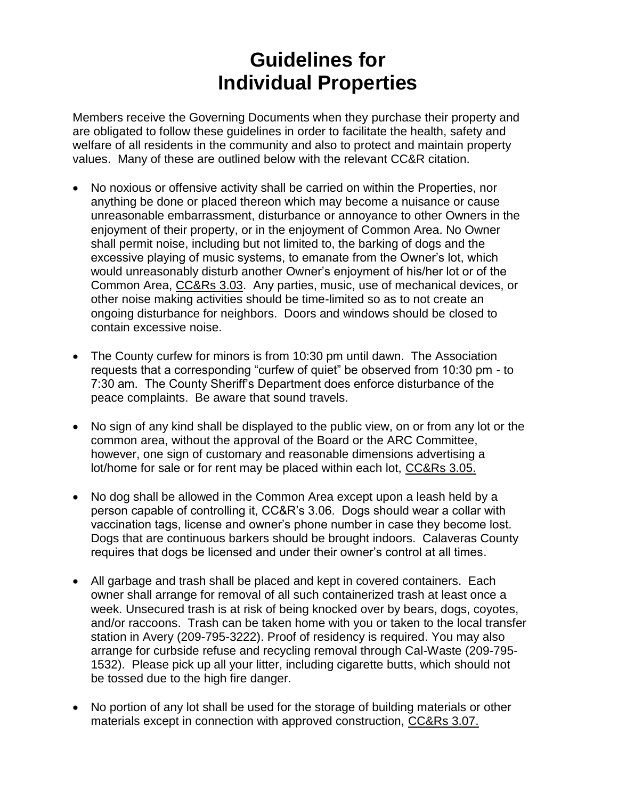## **Guidelines for Individual Properties**

Members receive the Governing Documents when they purchase their property and are obligated to follow these guidelines in order to facilitate the health, safety and welfare of all residents in the community and also to protect and maintain property values. Many of these are outlined below with the relevant CC&R citation.

- No noxious or offensive activity shall be carried on within the Properties, nor anything be done or placed thereon which may become a nuisance or cause unreasonable embarrassment, disturbance or annoyance to other Owners in the enjoyment of their property, or in the enjoyment of Common Area. No Owner shall permit noise, including but not limited to, the barking of dogs and the excessive playing of music systems, to emanate from the Owner's lot, which would unreasonably disturb another Owner's enjoyment of his/her lot or of the Common Area, CC&Rs 3.03. Any parties, music, use of mechanical devices, or other noise making activities should be time-limited so as to not create an ongoing disturbance for neighbors. Doors and windows should be closed to contain excessive noise.
- The County curfew for minors is from 10:30 pm until dawn. The Association requests that a corresponding "curfew of quiet" be observed from 10:30 pm - to 7:30 am. The County Sheriff's Department does enforce disturbance of the peace complaints. Be aware that sound travels.
- No sign of any kind shall be displayed to the public view, on or from any lot or the common area, without the approval of the Board or the ARC Committee, however, one sign of customary and reasonable dimensions advertising a lot/home for sale or for rent may be placed within each lot, CC&Rs 3.05.
- No dog shall be allowed in the Common Area except upon a leash held by a person capable of controlling it, CC&R's 3.06. Dogs should wear a collar with vaccination tags, license and owner's phone number in case they become lost. Dogs that are continuous barkers should be brought indoors. Calaveras County requires that dogs be licensed and under their owner's control at all times.
- All garbage and trash shall be placed and kept in covered containers. Each owner shall arrange for removal of all such containerized trash at least once a week. Unsecured trash is at risk of being knocked over by bears, dogs, coyotes, and/or raccoons. Trash can be taken home with you or taken to the local transfer station in Avery (209-795-3222). Proof of residency is required. You may also arrange for curbside refuse and recycling removal through Cal-Waste (209-795- 1532). Please pick up all your litter, including cigarette butts, which should not be tossed due to the high fire danger.
- No portion of any lot shall be used for the storage of building materials or other materials except in connection with approved construction, CC&Rs 3.07.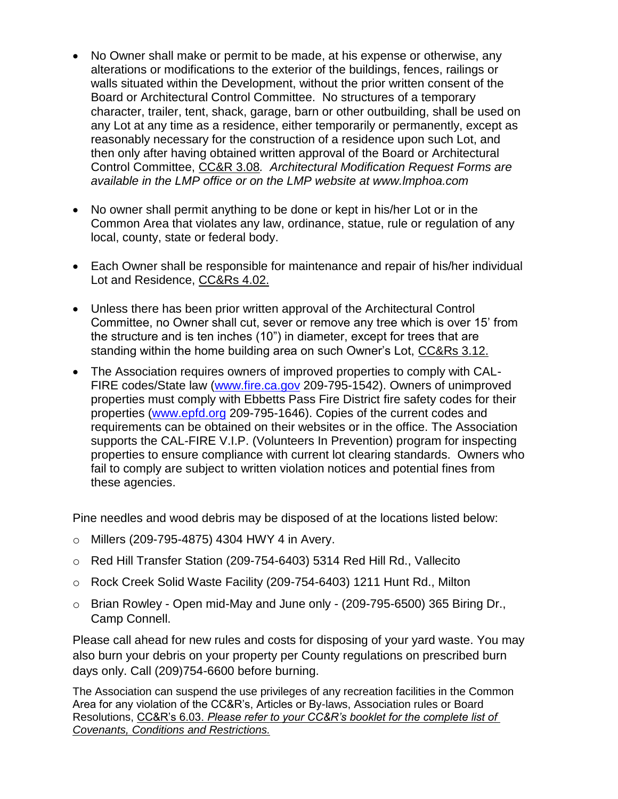- No Owner shall make or permit to be made, at his expense or otherwise, any alterations or modifications to the exterior of the buildings, fences, railings or walls situated within the Development, without the prior written consent of the Board or Architectural Control Committee. No structures of a temporary character, trailer, tent, shack, garage, barn or other outbuilding, shall be used on any Lot at any time as a residence, either temporarily or permanently, except as reasonably necessary for the construction of a residence upon such Lot, and then only after having obtained written approval of the Board or Architectural Control Committee, CC&R 3.08*. Architectural Modification Request Forms are available in the LMP office or on the LMP website at www.lmphoa.com*
- No owner shall permit anything to be done or kept in his/her Lot or in the Common Area that violates any law, ordinance, statue, rule or regulation of any local, county, state or federal body.
- Each Owner shall be responsible for maintenance and repair of his/her individual Lot and Residence, CC&Rs 4.02.
- Unless there has been prior written approval of the Architectural Control Committee, no Owner shall cut, sever or remove any tree which is over 15' from the structure and is ten inches (10") in diameter, except for trees that are standing within the home building area on such Owner's Lot, CC&Rs 3.12.
- The Association requires owners of improved properties to comply with CAL-FIRE codes/State law [\(www.fire.ca.gov](http://www.fire.ca.gov/) 209-795-1542). Owners of unimproved properties must comply with Ebbetts Pass Fire District fire safety codes for their properties [\(www.epfd.org](http://www.epfd.org/) 209-795-1646). Copies of the current codes and requirements can be obtained on their websites or in the office. The Association supports the CAL-FIRE V.I.P. (Volunteers In Prevention) program for inspecting properties to ensure compliance with current lot clearing standards. Owners who fail to comply are subject to written violation notices and potential fines from these agencies.

Pine needles and wood debris may be disposed of at the locations listed below:

- o Millers (209-795-4875) 4304 HWY 4 in Avery.
- o Red Hill Transfer Station (209-754-6403) 5314 Red Hill Rd., Vallecito
- o Rock Creek Solid Waste Facility (209-754-6403) 1211 Hunt Rd., Milton
- $\circ$  Brian Rowley Open mid-May and June only (209-795-6500) 365 Biring Dr., Camp Connell.

Please call ahead for new rules and costs for disposing of your yard waste. You may also burn your debris on your property per County regulations on prescribed burn days only. Call (209)754-6600 before burning.

The Association can suspend the use privileges of any recreation facilities in the Common Area for any violation of the CC&R's, Articles or By-laws, Association rules or Board Resolutions, CC&R's 6.03. *Please refer to your CC&R's booklet for the complete list of Covenants, Conditions and Restrictions.*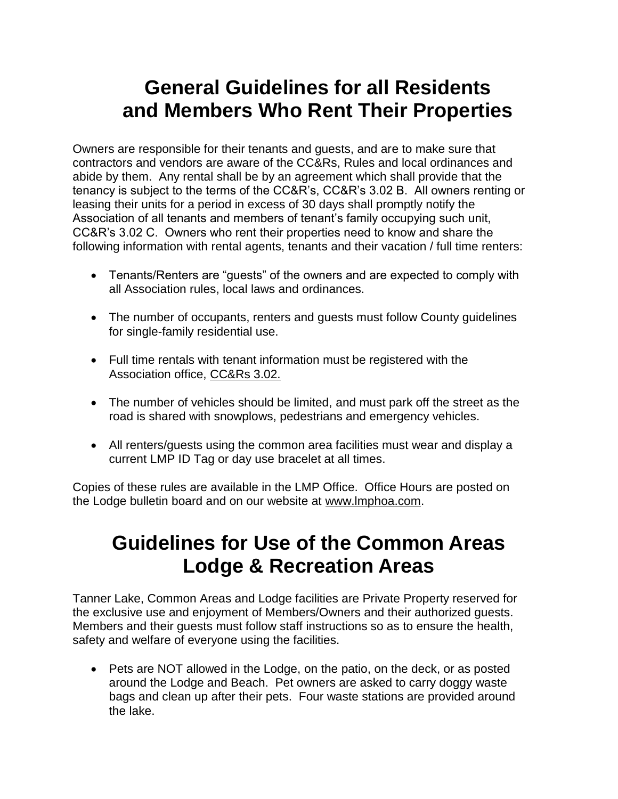#### **General Guidelines for all Residents and Members Who Rent Their Properties**

Owners are responsible for their tenants and guests, and are to make sure that contractors and vendors are aware of the CC&Rs, Rules and local ordinances and abide by them. Any rental shall be by an agreement which shall provide that the tenancy is subject to the terms of the CC&R's, CC&R's 3.02 B. All owners renting or leasing their units for a period in excess of 30 days shall promptly notify the Association of all tenants and members of tenant's family occupying such unit, CC&R's 3.02 C. Owners who rent their properties need to know and share the following information with rental agents, tenants and their vacation / full time renters:

- Tenants/Renters are "guests" of the owners and are expected to comply with all Association rules, local laws and ordinances.
- The number of occupants, renters and quests must follow County quidelines for single-family residential use.
- Full time rentals with tenant information must be registered with the Association office, CC&Rs 3.02.
- The number of vehicles should be limited, and must park off the street as the road is shared with snowplows, pedestrians and emergency vehicles.
- All renters/guests using the common area facilities must wear and display a current LMP ID Tag or day use bracelet at all times.

Copies of these rules are available in the LMP Office. Office Hours are posted on the Lodge bulletin board and on our website at www.lmphoa.com.

#### **Guidelines for Use of the Common Areas Lodge & Recreation Areas**

Tanner Lake, Common Areas and Lodge facilities are Private Property reserved for the exclusive use and enjoyment of Members/Owners and their authorized guests. Members and their guests must follow staff instructions so as to ensure the health, safety and welfare of everyone using the facilities.

• Pets are NOT allowed in the Lodge, on the patio, on the deck, or as posted around the Lodge and Beach. Pet owners are asked to carry doggy waste bags and clean up after their pets. Four waste stations are provided around the lake.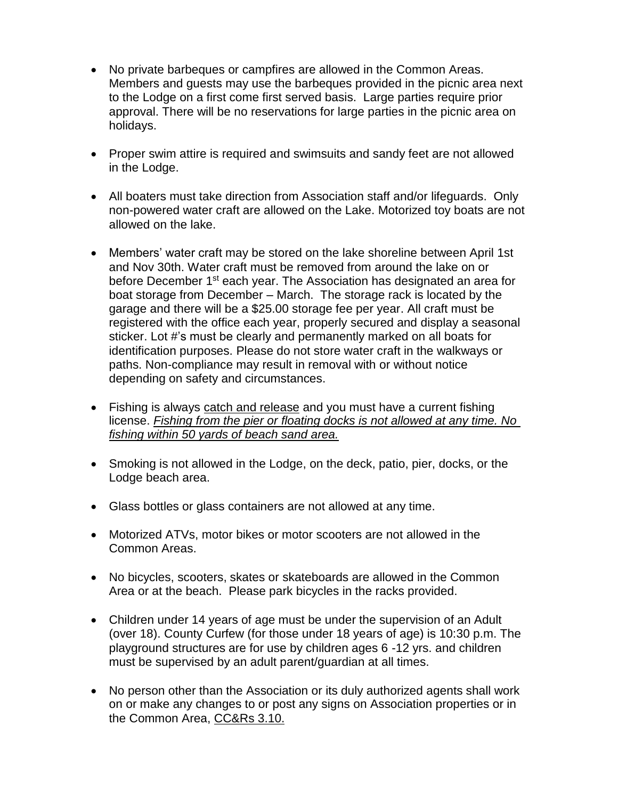- No private barbeques or campfires are allowed in the Common Areas. Members and guests may use the barbeques provided in the picnic area next to the Lodge on a first come first served basis. Large parties require prior approval. There will be no reservations for large parties in the picnic area on holidays.
- Proper swim attire is required and swimsuits and sandy feet are not allowed in the Lodge.
- All boaters must take direction from Association staff and/or lifeguards. Only non-powered water craft are allowed on the Lake. Motorized toy boats are not allowed on the lake.
- Members' water craft may be stored on the lake shoreline between April 1st and Nov 30th. Water craft must be removed from around the lake on or before December 1<sup>st</sup> each year. The Association has designated an area for boat storage from December – March. The storage rack is located by the garage and there will be a \$25.00 storage fee per year. All craft must be registered with the office each year, properly secured and display a seasonal sticker. Lot #'s must be clearly and permanently marked on all boats for identification purposes. Please do not store water craft in the walkways or paths. Non-compliance may result in removal with or without notice depending on safety and circumstances.
- Fishing is always catch and release and you must have a current fishing license. *Fishing from the pier or floating docks is not allowed at any time. No fishing within 50 yards of beach sand area.*
- Smoking is not allowed in the Lodge, on the deck, patio, pier, docks, or the Lodge beach area.
- Glass bottles or glass containers are not allowed at any time.
- Motorized ATVs, motor bikes or motor scooters are not allowed in the Common Areas.
- No bicycles, scooters, skates or skateboards are allowed in the Common Area or at the beach. Please park bicycles in the racks provided.
- Children under 14 years of age must be under the supervision of an Adult (over 18). County Curfew (for those under 18 years of age) is 10:30 p.m. The playground structures are for use by children ages 6 -12 yrs. and children must be supervised by an adult parent/guardian at all times.
- No person other than the Association or its duly authorized agents shall work on or make any changes to or post any signs on Association properties or in the Common Area, CC&Rs 3.10.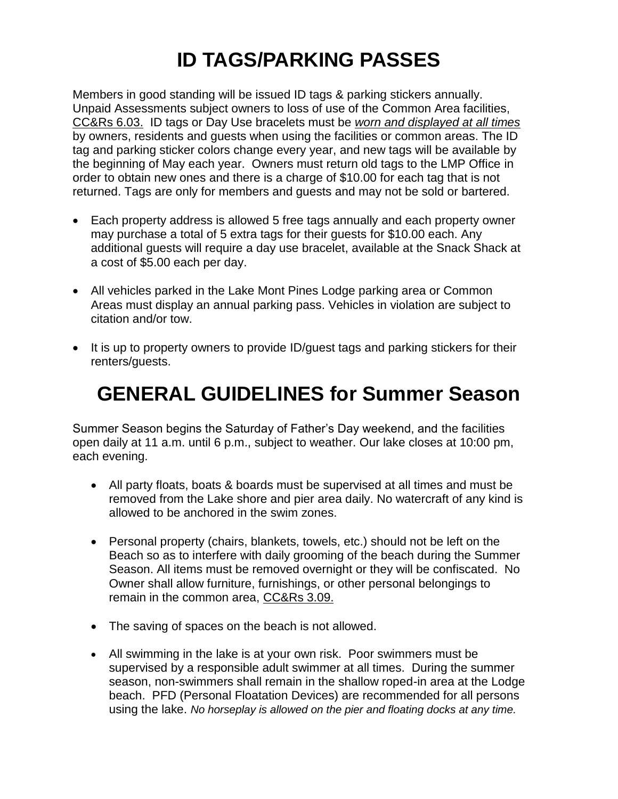# **ID TAGS/PARKING PASSES**

Members in good standing will be issued ID tags & parking stickers annually. Unpaid Assessments subject owners to loss of use of the Common Area facilities, CC&Rs 6.03. ID tags or Day Use bracelets must be *worn and displayed at all times* by owners, residents and guests when using the facilities or common areas. The ID tag and parking sticker colors change every year, and new tags will be available by the beginning of May each year. Owners must return old tags to the LMP Office in order to obtain new ones and there is a charge of \$10.00 for each tag that is not returned. Tags are only for members and guests and may not be sold or bartered.

- Each property address is allowed 5 free tags annually and each property owner may purchase a total of 5 extra tags for their guests for \$10.00 each. Any additional guests will require a day use bracelet, available at the Snack Shack at a cost of \$5.00 each per day.
- All vehicles parked in the Lake Mont Pines Lodge parking area or Common Areas must display an annual parking pass. Vehicles in violation are subject to citation and/or tow.
- It is up to property owners to provide ID/guest tags and parking stickers for their renters/guests.

### **GENERAL GUIDELINES for Summer Season**

Summer Season begins the Saturday of Father's Day weekend, and the facilities open daily at 11 a.m. until 6 p.m., subject to weather. Our lake closes at 10:00 pm, each evening.

- All party floats, boats & boards must be supervised at all times and must be removed from the Lake shore and pier area daily. No watercraft of any kind is allowed to be anchored in the swim zones.
- Personal property (chairs, blankets, towels, etc.) should not be left on the Beach so as to interfere with daily grooming of the beach during the Summer Season. All items must be removed overnight or they will be confiscated. No Owner shall allow furniture, furnishings, or other personal belongings to remain in the common area, CC&Rs 3.09.
- The saving of spaces on the beach is not allowed.
- All swimming in the lake is at your own risk. Poor swimmers must be supervised by a responsible adult swimmer at all times. During the summer season, non-swimmers shall remain in the shallow roped-in area at the Lodge beach. PFD (Personal Floatation Devices) are recommended for all persons using the lake. *No horseplay is allowed on the pier and floating docks at any time.*